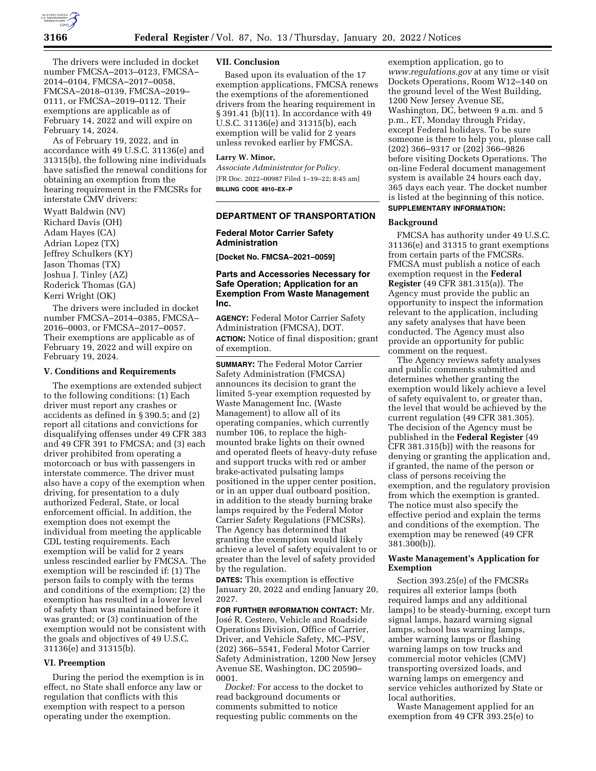

The drivers were included in docket number FMCSA–2013–0123, FMCSA– 2014–0104, FMCSA–2017–0058, FMCSA–2018–0139, FMCSA–2019– 0111, or FMCSA–2019–0112. Their exemptions are applicable as of February 14, 2022 and will expire on February 14, 2024.

As of February 19, 2022, and in accordance with 49 U.S.C. 31136(e) and 31315(b), the following nine individuals have satisfied the renewal conditions for obtaining an exemption from the hearing requirement in the FMCSRs for interstate CMV drivers:

Wyatt Baldwin (NV) Richard Davis (OH) Adam Hayes (CA) Adrian Lopez (TX) Jeffrey Schulkers (KY) Jason Thomas (TX) Joshua J. Tinley (AZ) Roderick Thomas (GA) Kerri Wright (OK)

The drivers were included in docket number FMCSA–2014–0385, FMCSA– 2016–0003, or FMCSA–2017–0057. Their exemptions are applicable as of February 19, 2022 and will expire on February 19, 2024.

#### **V. Conditions and Requirements**

The exemptions are extended subject to the following conditions: (1) Each driver must report any crashes or accidents as defined in § 390.5; and (2) report all citations and convictions for disqualifying offenses under 49 CFR 383 and 49 CFR 391 to FMCSA; and (3) each driver prohibited from operating a motorcoach or bus with passengers in interstate commerce. The driver must also have a copy of the exemption when driving, for presentation to a duly authorized Federal, State, or local enforcement official. In addition, the exemption does not exempt the individual from meeting the applicable CDL testing requirements. Each exemption will be valid for 2 years unless rescinded earlier by FMCSA. The exemption will be rescinded if: (1) The person fails to comply with the terms and conditions of the exemption; (2) the exemption has resulted in a lower level of safety than was maintained before it was granted; or (3) continuation of the exemption would not be consistent with the goals and objectives of 49 U.S.C. 31136(e) and 31315(b).

### **VI. Preemption**

During the period the exemption is in effect, no State shall enforce any law or regulation that conflicts with this exemption with respect to a person operating under the exemption.

### **VII. Conclusion**

Based upon its evaluation of the 17 exemption applications, FMCSA renews the exemptions of the aforementioned drivers from the hearing requirement in § 391.41 (b)(11). In accordance with 49 U.S.C. 31136(e) and 31315(b), each exemption will be valid for 2 years unless revoked earlier by FMCSA.

#### **Larry W. Minor,**

*Associate Administrator for Policy.*  [FR Doc. 2022–00987 Filed 1–19–22; 8:45 am] **BILLING CODE 4910–EX–P** 

# **DEPARTMENT OF TRANSPORTATION**

### **Federal Motor Carrier Safety Administration**

**[Docket No. FMCSA–2021–0059]** 

### **Parts and Accessories Necessary for Safe Operation; Application for an Exemption From Waste Management Inc.**

**AGENCY:** Federal Motor Carrier Safety Administration (FMCSA), DOT. **ACTION:** Notice of final disposition; grant of exemption.

**SUMMARY:** The Federal Motor Carrier Safety Administration (FMCSA) announces its decision to grant the limited 5-year exemption requested by Waste Management Inc. (Waste Management) to allow all of its operating companies, which currently number 106, to replace the highmounted brake lights on their owned and operated fleets of heavy-duty refuse and support trucks with red or amber brake-activated pulsating lamps positioned in the upper center position, or in an upper dual outboard position, in addition to the steady burning brake lamps required by the Federal Motor Carrier Safety Regulations (FMCSRs). The Agency has determined that granting the exemption would likely achieve a level of safety equivalent to or greater than the level of safety provided by the regulation.

**DATES:** This exemption is effective January 20, 2022 and ending January 20, 2027.

**FOR FURTHER INFORMATION CONTACT:** Mr. José R. Cestero, Vehicle and Roadside Operations Division, Office of Carrier, Driver, and Vehicle Safety, MC–PSV, (202) 366–5541, Federal Motor Carrier Safety Administration, 1200 New Jersey Avenue SE, Washington, DC 20590– 0001.

*Docket:* For access to the docket to read background documents or comments submitted to notice requesting public comments on the

exemption application, go to *[www.regulations.gov](http://www.regulations.gov)* at any time or visit Dockets Operations, Room W12–140 on the ground level of the West Building, 1200 New Jersey Avenue SE, Washington, DC, between 9 a.m. and 5 p.m., ET, Monday through Friday, except Federal holidays. To be sure someone is there to help you, please call (202) 366–9317 or (202) 366–9826 before visiting Dockets Operations. The on-line Federal document management system is available 24 hours each day, 365 days each year. The docket number is listed at the beginning of this notice. **SUPPLEMENTARY INFORMATION:** 

#### **Background**

FMCSA has authority under 49 U.S.C. 31136(e) and 31315 to grant exemptions from certain parts of the FMCSRs. FMCSA must publish a notice of each exemption request in the **Federal Register** (49 CFR 381.315(a)). The Agency must provide the public an opportunity to inspect the information relevant to the application, including any safety analyses that have been conducted. The Agency must also provide an opportunity for public comment on the request.

The Agency reviews safety analyses and public comments submitted and determines whether granting the exemption would likely achieve a level of safety equivalent to, or greater than, the level that would be achieved by the current regulation (49 CFR 381.305). The decision of the Agency must be published in the **Federal Register** (49 CFR 381.315(b)) with the reasons for denying or granting the application and, if granted, the name of the person or class of persons receiving the exemption, and the regulatory provision from which the exemption is granted. The notice must also specify the effective period and explain the terms and conditions of the exemption. The exemption may be renewed (49 CFR 381.300(b)).

# **Waste Management's Application for Exemption**

Section 393.25(e) of the FMCSRs requires all exterior lamps (both required lamps and any additional lamps) to be steady-burning, except turn signal lamps, hazard warning signal lamps, school bus warning lamps, amber warning lamps or flashing warning lamps on tow trucks and commercial motor vehicles (CMV) transporting oversized loads, and warning lamps on emergency and service vehicles authorized by State or local authorities.

Waste Management applied for an exemption from 49 CFR 393.25(e) to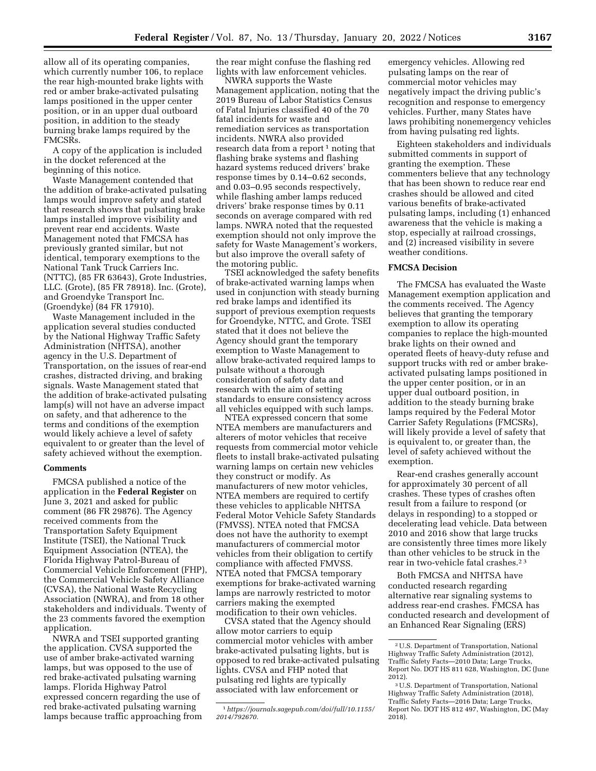allow all of its operating companies, which currently number 106, to replace the rear high-mounted brake lights with red or amber brake-activated pulsating lamps positioned in the upper center position, or in an upper dual outboard position, in addition to the steady burning brake lamps required by the FMCSRs.

A copy of the application is included in the docket referenced at the beginning of this notice.

Waste Management contended that the addition of brake-activated pulsating lamps would improve safety and stated that research shows that pulsating brake lamps installed improve visibility and prevent rear end accidents. Waste Management noted that FMCSA has previously granted similar, but not identical, temporary exemptions to the National Tank Truck Carriers Inc. (NTTC), (85 FR 63643), Grote Industries, LLC. (Grote), (85 FR 78918). Inc. (Grote), and Groendyke Transport Inc. (Groendyke) (84 FR 17910).

Waste Management included in the application several studies conducted by the National Highway Traffic Safety Administration (NHTSA), another agency in the U.S. Department of Transportation, on the issues of rear-end crashes, distracted driving, and braking signals. Waste Management stated that the addition of brake-activated pulsating lamp(s) will not have an adverse impact on safety, and that adherence to the terms and conditions of the exemption would likely achieve a level of safety equivalent to or greater than the level of safety achieved without the exemption.

#### **Comments**

FMCSA published a notice of the application in the **Federal Register** on June 3, 2021 and asked for public comment (86 FR 29876). The Agency received comments from the Transportation Safety Equipment Institute (TSEI), the National Truck Equipment Association (NTEA), the Florida Highway Patrol-Bureau of Commercial Vehicle Enforcement (FHP), the Commercial Vehicle Safety Alliance (CVSA), the National Waste Recycling Association (NWRA), and from 18 other stakeholders and individuals. Twenty of the 23 comments favored the exemption application.

NWRA and TSEI supported granting the application. CVSA supported the use of amber brake-activated warning lamps, but was opposed to the use of red brake-activated pulsating warning lamps. Florida Highway Patrol expressed concern regarding the use of red brake-activated pulsating warning lamps because traffic approaching from the rear might confuse the flashing red lights with law enforcement vehicles.

NWRA supports the Waste Management application, noting that the 2019 Bureau of Labor Statistics Census of Fatal Injuries classified 40 of the 70 fatal incidents for waste and remediation services as transportation incidents. NWRA also provided research data from a report<sup>1</sup> noting that flashing brake systems and flashing hazard systems reduced drivers' brake response times by 0.14–0.62 seconds, and 0.03–0.95 seconds respectively, while flashing amber lamps reduced drivers' brake response times by 0.11 seconds on average compared with red lamps. NWRA noted that the requested exemption should not only improve the safety for Waste Management's workers, but also improve the overall safety of the motoring public.

TSEI acknowledged the safety benefits of brake-activated warning lamps when used in conjunction with steady burning red brake lamps and identified its support of previous exemption requests for Groendyke, NTTC, and Grote. TSEI stated that it does not believe the Agency should grant the temporary exemption to Waste Management to allow brake-activated required lamps to pulsate without a thorough consideration of safety data and research with the aim of setting standards to ensure consistency across all vehicles equipped with such lamps.

NTEA expressed concern that some NTEA members are manufacturers and alterers of motor vehicles that receive requests from commercial motor vehicle fleets to install brake-activated pulsating warning lamps on certain new vehicles they construct or modify. As manufacturers of new motor vehicles, NTEA members are required to certify these vehicles to applicable NHTSA Federal Motor Vehicle Safety Standards (FMVSS). NTEA noted that FMCSA does not have the authority to exempt manufacturers of commercial motor vehicles from their obligation to certify compliance with affected FMVSS. NTEA noted that FMCSA temporary exemptions for brake-activated warning lamps are narrowly restricted to motor carriers making the exempted modification to their own vehicles.

CVSA stated that the Agency should allow motor carriers to equip commercial motor vehicles with amber brake-activated pulsating lights, but is opposed to red brake-activated pulsating lights. CVSA and FHP noted that pulsating red lights are typically associated with law enforcement or

emergency vehicles. Allowing red pulsating lamps on the rear of commercial motor vehicles may negatively impact the driving public's recognition and response to emergency vehicles. Further, many States have laws prohibiting nonemergency vehicles from having pulsating red lights.

Eighteen stakeholders and individuals submitted comments in support of granting the exemption. These commenters believe that any technology that has been shown to reduce rear end crashes should be allowed and cited various benefits of brake-activated pulsating lamps, including (1) enhanced awareness that the vehicle is making a stop, especially at railroad crossings, and (2) increased visibility in severe weather conditions.

# **FMCSA Decision**

The FMCSA has evaluated the Waste Management exemption application and the comments received. The Agency believes that granting the temporary exemption to allow its operating companies to replace the high-mounted brake lights on their owned and operated fleets of heavy-duty refuse and support trucks with red or amber brakeactivated pulsating lamps positioned in the upper center position, or in an upper dual outboard position, in addition to the steady burning brake lamps required by the Federal Motor Carrier Safety Regulations (FMCSRs), will likely provide a level of safety that is equivalent to, or greater than, the level of safety achieved without the exemption.

Rear-end crashes generally account for approximately 30 percent of all crashes. These types of crashes often result from a failure to respond (or delays in responding) to a stopped or decelerating lead vehicle. Data between 2010 and 2016 show that large trucks are consistently three times more likely than other vehicles to be struck in the rear in two-vehicle fatal crashes.2 3

Both FMCSA and NHTSA have conducted research regarding alternative rear signaling systems to address rear-end crashes. FMCSA has conducted research and development of an Enhanced Rear Signaling (ERS)

<sup>1</sup>*[https://journals.sagepub.com/doi/full/10.1155/](https://journals.sagepub.com/doi/full/10.1155/2014/792670)  [2014/792670.](https://journals.sagepub.com/doi/full/10.1155/2014/792670)* 

<sup>2</sup>U.S. Department of Transportation, National Highway Traffic Safety Administration (2012), Traffic Safety Facts—2010 Data; Large Trucks, Report No. DOT HS 811 628, Washington, DC (June 2012).

<sup>3</sup>U.S. Department of Transportation, National Highway Traffic Safety Administration (2018), Traffic Safety Facts—2016 Data; Large Trucks, Report No. DOT HS 812 497, Washington, DC (May 2018).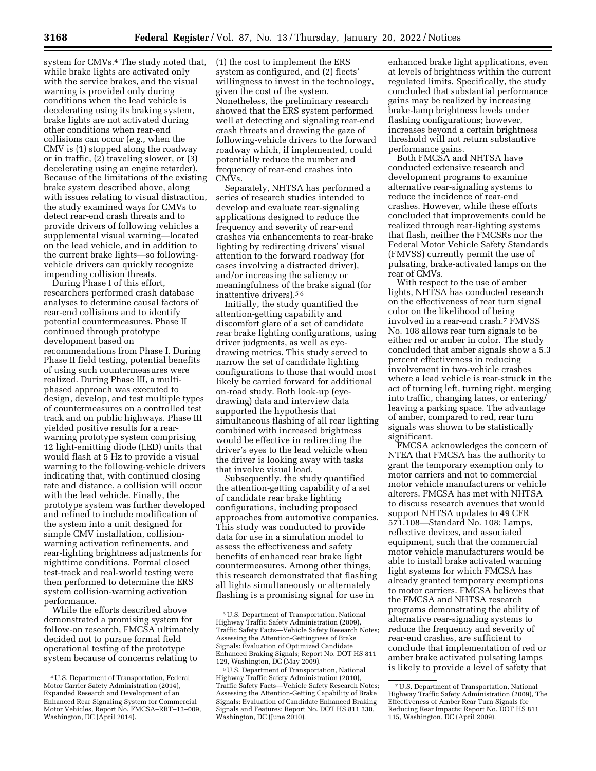system for CMVs.<sup>4</sup> The study noted that, while brake lights are activated only with the service brakes, and the visual warning is provided only during conditions when the lead vehicle is decelerating using its braking system, brake lights are not activated during other conditions when rear-end collisions can occur (*e.g.,* when the CMV is (1) stopped along the roadway or in traffic, (2) traveling slower, or (3) decelerating using an engine retarder). Because of the limitations of the existing brake system described above, along with issues relating to visual distraction, the study examined ways for CMVs to detect rear-end crash threats and to provide drivers of following vehicles a supplemental visual warning—located on the lead vehicle, and in addition to the current brake lights—so followingvehicle drivers can quickly recognize impending collision threats.

During Phase I of this effort, researchers performed crash database analyses to determine causal factors of rear-end collisions and to identify potential countermeasures. Phase II continued through prototype development based on recommendations from Phase I. During Phase II field testing, potential benefits of using such countermeasures were realized. During Phase III, a multiphased approach was executed to design, develop, and test multiple types of countermeasures on a controlled test track and on public highways. Phase III yielded positive results for a rearwarning prototype system comprising 12 light-emitting diode (LED) units that would flash at 5 Hz to provide a visual warning to the following-vehicle drivers indicating that, with continued closing rate and distance, a collision will occur with the lead vehicle. Finally, the prototype system was further developed and refined to include modification of the system into a unit designed for simple CMV installation, collisionwarning activation refinements, and rear-lighting brightness adjustments for nighttime conditions. Formal closed test-track and real-world testing were then performed to determine the ERS system collision-warning activation performance.

While the efforts described above demonstrated a promising system for follow-on research, FMCSA ultimately decided not to pursue formal field operational testing of the prototype system because of concerns relating to

(1) the cost to implement the ERS system as configured, and (2) fleets' willingness to invest in the technology, given the cost of the system. Nonetheless, the preliminary research showed that the ERS system performed well at detecting and signaling rear-end crash threats and drawing the gaze of following-vehicle drivers to the forward roadway which, if implemented, could potentially reduce the number and frequency of rear-end crashes into CMVs.

Separately, NHTSA has performed a series of research studies intended to develop and evaluate rear-signaling applications designed to reduce the frequency and severity of rear-end crashes via enhancements to rear-brake lighting by redirecting drivers' visual attention to the forward roadway (for cases involving a distracted driver), and/or increasing the saliency or meaningfulness of the brake signal (for inattentive drivers).5 6

Initially, the study quantified the attention-getting capability and discomfort glare of a set of candidate rear brake lighting configurations, using driver judgments, as well as eyedrawing metrics. This study served to narrow the set of candidate lighting configurations to those that would most likely be carried forward for additional on-road study. Both look-up (eyedrawing) data and interview data supported the hypothesis that simultaneous flashing of all rear lighting combined with increased brightness would be effective in redirecting the driver's eyes to the lead vehicle when the driver is looking away with tasks that involve visual load.

Subsequently, the study quantified the attention-getting capability of a set of candidate rear brake lighting configurations, including proposed approaches from automotive companies. This study was conducted to provide data for use in a simulation model to assess the effectiveness and safety benefits of enhanced rear brake light countermeasures. Among other things, this research demonstrated that flashing all lights simultaneously or alternately flashing is a promising signal for use in

enhanced brake light applications, even at levels of brightness within the current regulated limits. Specifically, the study concluded that substantial performance gains may be realized by increasing brake-lamp brightness levels under flashing configurations; however, increases beyond a certain brightness threshold will not return substantive performance gains.

Both FMCSA and NHTSA have conducted extensive research and development programs to examine alternative rear-signaling systems to reduce the incidence of rear-end crashes. However, while these efforts concluded that improvements could be realized through rear-lighting systems that flash, neither the FMCSRs nor the Federal Motor Vehicle Safety Standards (FMVSS) currently permit the use of pulsating, brake-activated lamps on the rear of CMVs.

With respect to the use of amber lights, NHTSA has conducted research on the effectiveness of rear turn signal color on the likelihood of being involved in a rear-end crash.7 FMVSS No. 108 allows rear turn signals to be either red or amber in color. The study concluded that amber signals show a 5.3 percent effectiveness in reducing involvement in two-vehicle crashes where a lead vehicle is rear-struck in the act of turning left, turning right, merging into traffic, changing lanes, or entering/ leaving a parking space. The advantage of amber, compared to red, rear turn signals was shown to be statistically significant.

FMCSA acknowledges the concern of NTEA that FMCSA has the authority to grant the temporary exemption only to motor carriers and not to commercial motor vehicle manufacturers or vehicle alterers. FMCSA has met with NHTSA to discuss research avenues that would support NHTSA updates to 49 CFR 571.108—Standard No. 108; Lamps, reflective devices, and associated equipment, such that the commercial motor vehicle manufacturers would be able to install brake activated warning light systems for which FMCSA has already granted temporary exemptions to motor carriers. FMCSA believes that the FMCSA and NHTSA research programs demonstrating the ability of alternative rear-signaling systems to reduce the frequency and severity of rear-end crashes, are sufficient to conclude that implementation of red or amber brake activated pulsating lamps is likely to provide a level of safety that

<sup>4</sup>U.S. Department of Transportation, Federal Motor Carrier Safety Administration (2014), Expanded Research and Development of an Enhanced Rear Signaling System for Commercial Motor Vehicles, Report No. FMCSA–RRT–13–009, Washington, DC (April 2014).

<sup>5</sup>U.S. Department of Transportation, National Highway Traffic Safety Administration (2009), Traffic Safety Facts—Vehicle Safety Research Notes; Assessing the Attention-Gettingness of Brake Signals: Evaluation of Optimized Candidate Enhanced Braking Signals; Report No. DOT HS 811 129, Washington, DC (May 2009).

<sup>6</sup>U.S. Department of Transportation, National Highway Traffic Safety Administration (2010), Traffic Safety Facts—Vehicle Safety Research Notes; Assessing the Attention-Getting Capability of Brake Signals: Evaluation of Candidate Enhanced Braking Signals and Features; Report No. DOT HS 811 330, Washington, DC (June 2010).

<sup>7</sup>U.S. Department of Transportation, National Highway Traffic Safety Administration (2009), The Effectiveness of Amber Rear Turn Signals for Reducing Rear Impacts; Report No. DOT HS 811 115, Washington, DC (April 2009).